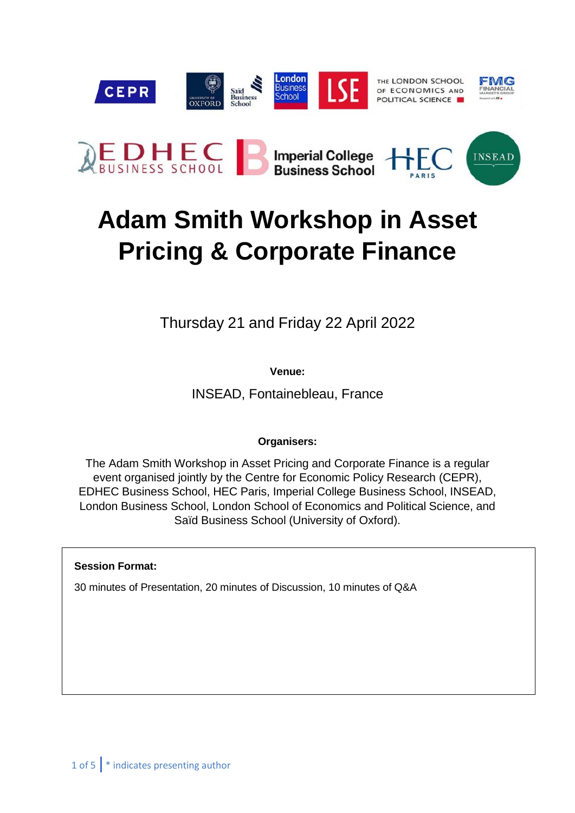

# **Adam Smith Workshop in Asset Pricing & Corporate Finance**

Thursday 21 and Friday 22 April 2022

**Venue:**

INSEAD, Fontainebleau, France

# **Organisers:**

The Adam Smith Workshop in Asset Pricing and Corporate Finance is a regular event organised jointly by the Centre for Economic Policy Research (CEPR), EDHEC Business School, HEC Paris, Imperial College Business School, INSEAD, London Business School, London School of Economics and Political Science, and Saïd Business School (University of Oxford).

# **Session Format:**

30 minutes of Presentation, 20 minutes of Discussion, 10 minutes of Q&A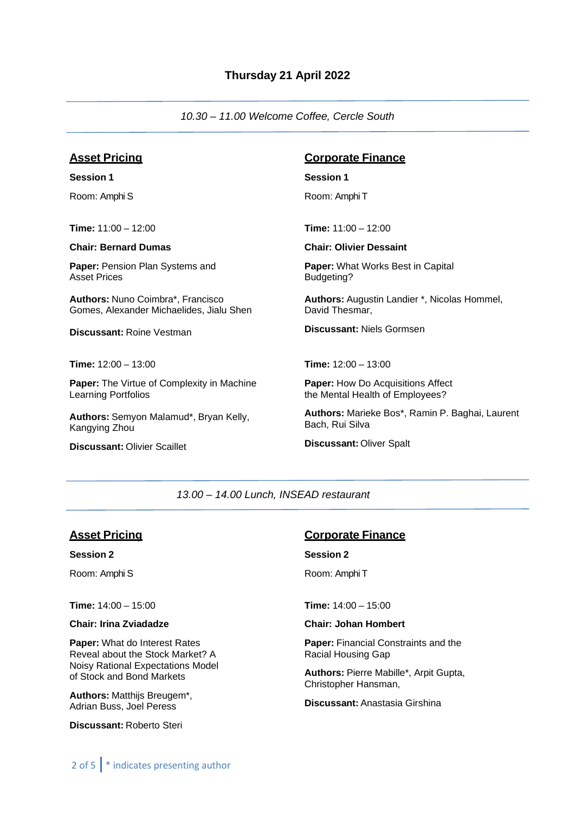*10.30 – 11.00 Welcome Coffee, Cercle South*

# **Asset Pricing**

**Session 1** Room: Amphi S

**Time:** 11:00 – 12:00

#### **Chair: Bernard Dumas**

**Paper:** Pension Plan Systems and Asset Prices

**Authors:** Nuno Coimbra\*, Francisco Gomes, Alexander Michaelides, Jialu Shen

**Discussant:** Roine Vestman

**Time:** 12:00 – 13:00

**Paper:** The Virtue of Complexity in Machine Learning Portfolios

**Authors:** Semyon Malamud\*, Bryan Kelly, Kangying Zhou

**Discussant:** Olivier Scaillet

# **Corporate Finance**

#### **Session 1**

Room: Amphi T

**Time:** 11:00 – 12:00

#### **Chair: Olivier Dessaint**

**Paper:** What Works Best in Capital Budgeting?

**Authors:** Augustin Landier \*, Nicolas Hommel, David Thesmar,

**Discussant:** Niels Gormsen

**Time:** 12:00 – 13:00

**Paper:** How Do Acquisitions Affect the Mental Health of Employees?

**Authors:** Marieke Bos\*, Ramin P. Baghai, Laurent Bach, Rui Silva

**Discussant:** Oliver Spalt

#### *13.00 – 14.00 Lunch, INSEAD restaurant*

# **Asset Pricing**

**Session 2**

Room: Amphi S

**Time:** 14:00 – 15:00

**Chair: Irina Zviadadze**

**Paper:** What do Interest Rates Reveal about the Stock Market? A Noisy Rational Expectations Model of Stock and Bond Markets

**Authors:** Matthijs Breugem\*, Adrian Buss, Joel Peress

**Discussant:** Roberto Steri

# **Corporate Finance**

#### **Session 2**

Room: Amphi T

**Time:** 14:00 – 15:00

**Chair: Johan Hombert**

**Paper:** Financial Constraints and the Racial Housing Gap

**Authors:** Pierre Mabille\*, Arpit Gupta, Christopher Hansman,

**Discussant:** Anastasia Girshina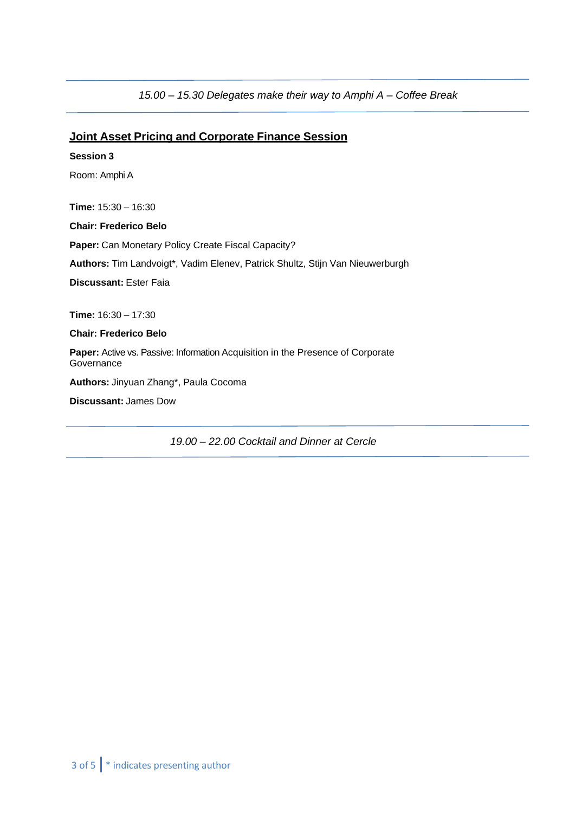*15.00 – 15.30 Delegates make their way to Amphi A – Coffee Break*

# **Joint Asset Pricing and Corporate Finance Session**

**Session 3** Room: Amphi A **Time:** 15:30 – 16:30 **Chair: Frederico Belo Paper:** Can Monetary Policy Create Fiscal Capacity? **Authors:** Tim Landvoigt\*, Vadim Elenev, Patrick Shultz, Stijn Van Nieuwerburgh **Discussant:** Ester Faia **Time:** 16:30 – 17:30 **Chair: Frederico Belo Paper:** Active vs. Passive: Information Acquisition in the Presence of Corporate **Governance Authors:** Jinyuan Zhang\*, Paula Cocoma **Discussant:** James Dow

*19.00 – 22.00 Cocktail and Dinner at Cercle*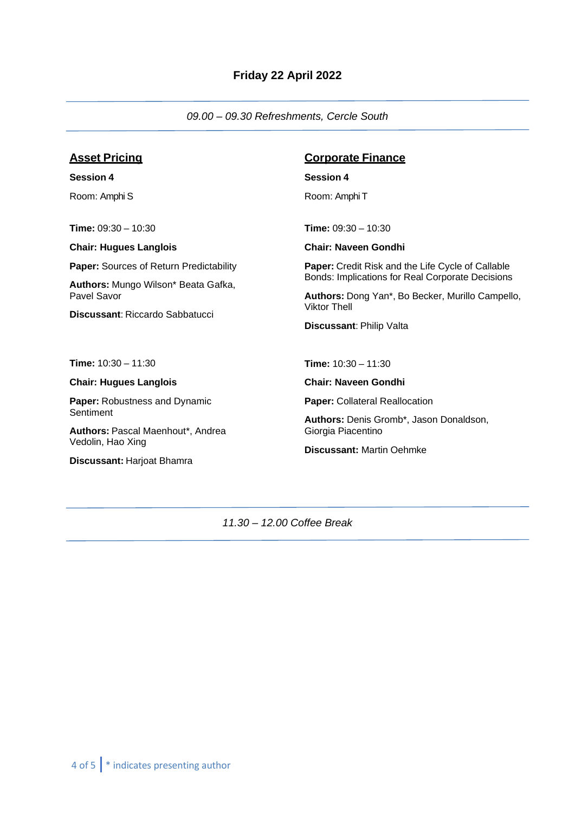*09.00 – 09.30 Refreshments, Cercle South*

# **Asset Pricing**

**Session 4** Room: Amphi S

**Time:** 09:30 – 10:30

**Chair: Hugues Langlois**

**Paper:** Sources of Return Predictability

**Authors:** Mungo Wilson\* Beata Gafka, Pavel Savor

**Discussant**: Riccardo Sabbatucci

**Time:** 10:30 – 11:30

#### **Chair: Hugues Langlois**

**Paper:** Robustness and Dynamic **Sentiment** 

**Authors:** Pascal Maenhout\*, Andrea Vedolin, Hao Xing

**Discussant:** Harjoat Bhamra

# **Corporate Finance**

**Session 4**

Room: Amphi T

**Time:** 09:30 – 10:30

**Chair: Naveen Gondhi**

**Paper:** Credit Risk and the Life Cycle of Callable Bonds: Implications for Real Corporate Decisions

**Authors:** Dong Yan\*, Bo Becker, Murillo Campello, Viktor Thell

**Discussant**: Philip Valta

**Time:** 10:30 – 11:30

**Chair: Naveen Gondhi**

**Paper:** Collateral Reallocation

**Authors:** Denis Gromb\*, Jason Donaldson, Giorgia Piacentino

**Discussant:** Martin Oehmke

*11.30 – 12.00 Coffee Break*